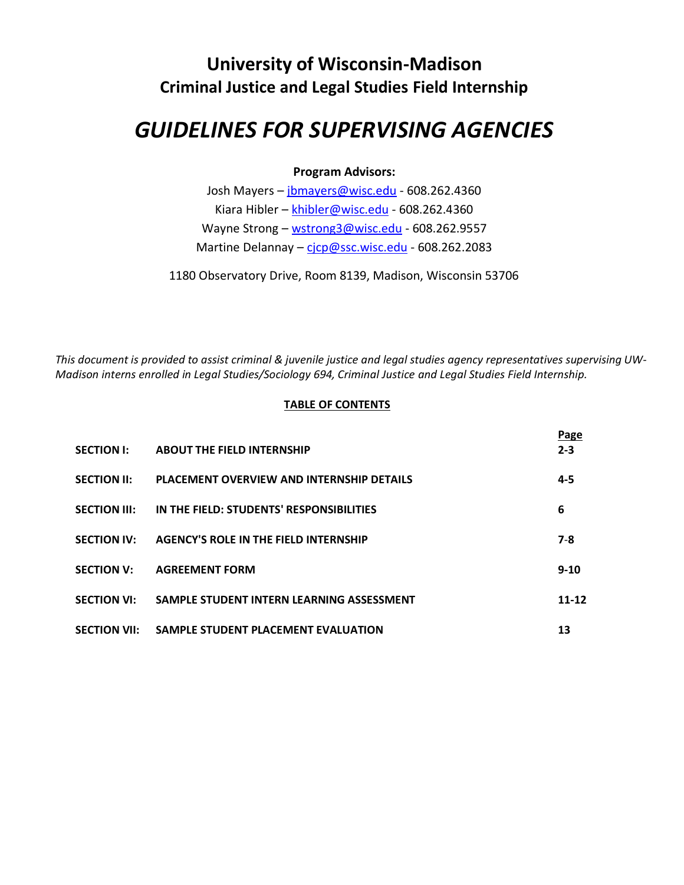# **University of Wisconsin-Madison Criminal Justice and Legal Studies Field Internship**

# *GUIDELINES FOR SUPERVISING AGENCIES*

# **Program Advisors:**

Josh Mayers – [jbmayers@wisc.edu](mailto:jbmayers@wisc.edu) - 608.262.4360 Kiara Hibler – [khibler@wisc.edu](mailto:khibler@wisc.edu) - 608.262.4360 Wayne Strong – [wstrong3@wisc.edu](mailto:wstrong3@wisc.edu) - 608.262.9557 Martine Delannay - [cjcp@ssc.wisc.edu](mailto:cjcp@ssc.wisc.edu) - 608.262.2083

1180 Observatory Drive, Room 8139, Madison, Wisconsin 53706

*This document is provided to assist criminal & juvenile justice and legal studies agency representatives supervising UW-Madison interns enrolled in Legal Studies/Sociology 694, Criminal Justice and Legal Studies Field Internship.*

#### **TABLE OF CONTENTS**

| <b>SECTION I:</b>   | <b>ABOUT THE FIELD INTERNSHIP</b>                | Page<br>$2 - 3$ |
|---------------------|--------------------------------------------------|-----------------|
| <b>SECTION II:</b>  | <b>PLACEMENT OVERVIEW AND INTERNSHIP DETAILS</b> | $4 - 5$         |
| <b>SECTION III:</b> | IN THE FIELD: STUDENTS' RESPONSIBILITIES         | 6               |
| <b>SECTION IV:</b>  | <b>AGENCY'S ROLE IN THE FIELD INTERNSHIP</b>     | $7 - 8$         |
| <b>SECTION V:</b>   | <b>AGREEMENT FORM</b>                            | $9 - 10$        |
| <b>SECTION VI:</b>  | SAMPLE STUDENT INTERN LEARNING ASSESSMENT        | 11-12           |
| <b>SECTION VII:</b> | SAMPLE STUDENT PLACEMENT EVALUATION              | 13              |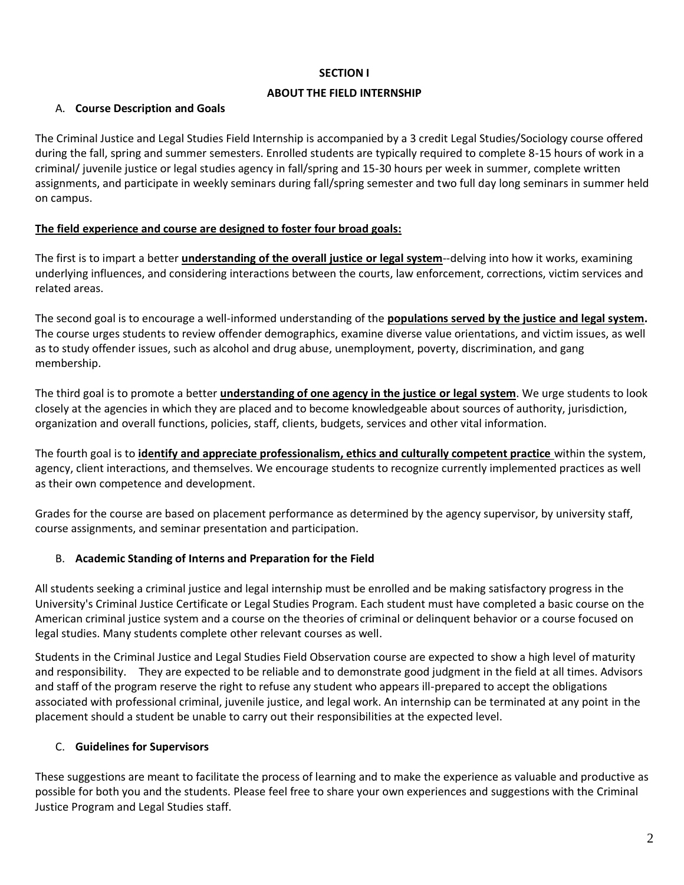#### **SECTION I**

#### **ABOUT THE FIELD INTERNSHIP**

# A. **Course Description and Goals**

The Criminal Justice and Legal Studies Field Internship is accompanied by a 3 credit Legal Studies/Sociology course offered during the fall, spring and summer semesters. Enrolled students are typically required to complete 8-15 hours of work in a criminal/ juvenile justice or legal studies agency in fall/spring and 15-30 hours per week in summer, complete written assignments, and participate in weekly seminars during fall/spring semester and two full day long seminars in summer held on campus.

# **The field experience and course are designed to foster four broad goals:**

The first is to impart a better **understanding of the overall justice or legal system**--delving into how it works, examining underlying influences, and considering interactions between the courts, law enforcement, corrections, victim services and related areas.

The second goal is to encourage a well-informed understanding of the **populations served by the justice and legal system.** The course urges students to review offender demographics, examine diverse value orientations, and victim issues, as well as to study offender issues, such as alcohol and drug abuse, unemployment, poverty, discrimination, and gang membership.

The third goal is to promote a better **understanding of one agency in the justice or legal system**. We urge students to look closely at the agencies in which they are placed and to become knowledgeable about sources of authority, jurisdiction, organization and overall functions, policies, staff, clients, budgets, services and other vital information.

The fourth goal is to **identify and appreciate professionalism, ethics and culturally competent practice** within the system, agency, client interactions, and themselves. We encourage students to recognize currently implemented practices as well as their own competence and development.

Grades for the course are based on placement performance as determined by the agency supervisor, by university staff, course assignments, and seminar presentation and participation.

# B. **Academic Standing of Interns and Preparation for the Field**

All students seeking a criminal justice and legal internship must be enrolled and be making satisfactory progress in the University's Criminal Justice Certificate or Legal Studies Program. Each student must have completed a basic course on the American criminal justice system and a course on the theories of criminal or delinquent behavior or a course focused on legal studies. Many students complete other relevant courses as well.

Students in the Criminal Justice and Legal Studies Field Observation course are expected to show a high level of maturity and responsibility. They are expected to be reliable and to demonstrate good judgment in the field at all times. Advisors and staff of the program reserve the right to refuse any student who appears ill-prepared to accept the obligations associated with professional criminal, juvenile justice, and legal work. An internship can be terminated at any point in the placement should a student be unable to carry out their responsibilities at the expected level.

# C. **Guidelines for Supervisors**

These suggestions are meant to facilitate the process of learning and to make the experience as valuable and productive as possible for both you and the students. Please feel free to share your own experiences and suggestions with the Criminal Justice Program and Legal Studies staff.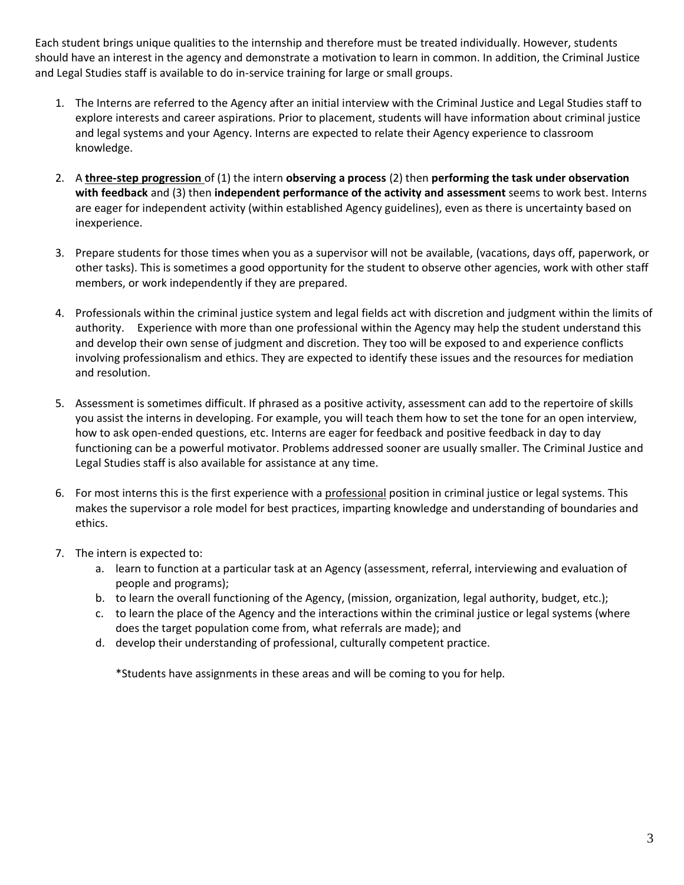Each student brings unique qualities to the internship and therefore must be treated individually. However, students should have an interest in the agency and demonstrate a motivation to learn in common. In addition, the Criminal Justice and Legal Studies staff is available to do in-service training for large or small groups.

- 1. The Interns are referred to the Agency after an initial interview with the Criminal Justice and Legal Studies staff to explore interests and career aspirations. Prior to placement, students will have information about criminal justice and legal systems and your Agency. Interns are expected to relate their Agency experience to classroom knowledge.
- 2. A **three-step progression** of (1) the intern **observing a process** (2) then **performing the task under observation with feedback** and (3) then **independent performance of the activity and assessment** seems to work best. Interns are eager for independent activity (within established Agency guidelines), even as there is uncertainty based on inexperience.
- 3. Prepare students for those times when you as a supervisor will not be available, (vacations, days off, paperwork, or other tasks). This is sometimes a good opportunity for the student to observe other agencies, work with other staff members, or work independently if they are prepared.
- 4. Professionals within the criminal justice system and legal fields act with discretion and judgment within the limits of authority. Experience with more than one professional within the Agency may help the student understand this and develop their own sense of judgment and discretion. They too will be exposed to and experience conflicts involving professionalism and ethics. They are expected to identify these issues and the resources for mediation and resolution.
- 5. Assessment is sometimes difficult. If phrased as a positive activity, assessment can add to the repertoire of skills you assist the interns in developing. For example, you will teach them how to set the tone for an open interview, how to ask open-ended questions, etc. Interns are eager for feedback and positive feedback in day to day functioning can be a powerful motivator. Problems addressed sooner are usually smaller. The Criminal Justice and Legal Studies staff is also available for assistance at any time.
- 6. For most interns this is the first experience with a professional position in criminal justice or legal systems. This makes the supervisor a role model for best practices, imparting knowledge and understanding of boundaries and ethics.
- 7. The intern is expected to:
	- a. learn to function at a particular task at an Agency (assessment, referral, interviewing and evaluation of people and programs);
	- b. to learn the overall functioning of the Agency, (mission, organization, legal authority, budget, etc.);
	- c. to learn the place of the Agency and the interactions within the criminal justice or legal systems (where does the target population come from, what referrals are made); and
	- d. develop their understanding of professional, culturally competent practice.

\*Students have assignments in these areas and will be coming to you for help.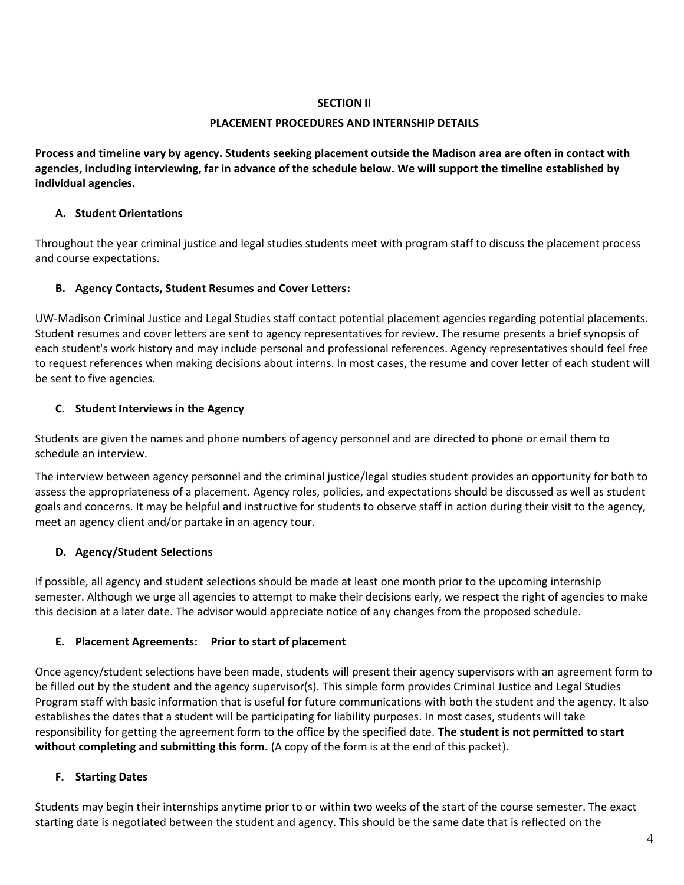#### **SECTION II**

#### **PLACEMENT PROCEDURES AND INTERNSHIP DETAILS**

**Process and timeline vary by agency. Students seeking placement outside the Madison area are often in contact with agencies, including interviewing, far in advance of the schedule below. We will support the timeline established by individual agencies.**

# **A. Student Orientations**

Throughout the year criminal justice and legal studies students meet with program staff to discuss the placement process and course expectations.

# **B. Agency Contacts, Student Resumes and Cover Letters:**

UW-Madison Criminal Justice and Legal Studies staff contact potential placement agencies regarding potential placements. Student resumes and cover letters are sent to agency representatives for review. The resume presents a brief synopsis of each student's work history and may include personal and professional references. Agency representatives should feel free to request references when making decisions about interns. In most cases, the resume and cover letter of each student will be sent to five agencies.

# **C. Student Interviews in the Agency**

Students are given the names and phone numbers of agency personnel and are directed to phone or email them to schedule an interview.

The interview between agency personnel and the criminal justice/legal studies student provides an opportunity for both to assess the appropriateness of a placement. Agency roles, policies, and expectations should be discussed as well as student goals and concerns. It may be helpful and instructive for students to observe staff in action during their visit to the agency, meet an agency client and/or partake in an agency tour.

# **D. Agency/Student Selections**

If possible, all agency and student selections should be made at least one month prior to the upcoming internship semester. Although we urge all agencies to attempt to make their decisions early, we respect the right of agencies to make this decision at a later date. The advisor would appreciate notice of any changes from the proposed schedule.

# **E. Placement Agreements: Prior to start of placement**

Once agency/student selections have been made, students will present their agency supervisors with an agreement form to be filled out by the student and the agency supervisor(s). This simple form provides Criminal Justice and Legal Studies Program staff with basic information that is useful for future communications with both the student and the agency. It also establishes the dates that a student will be participating for liability purposes. In most cases, students will take responsibility for getting the agreement form to the office by the specified date. **The student is not permitted to start without completing and submitting this form.** (A copy of the form is at the end of this packet).

# **F. Starting Dates**

Students may begin their internships anytime prior to or within two weeks of the start of the course semester. The exact starting date is negotiated between the student and agency. This should be the same date that is reflected on the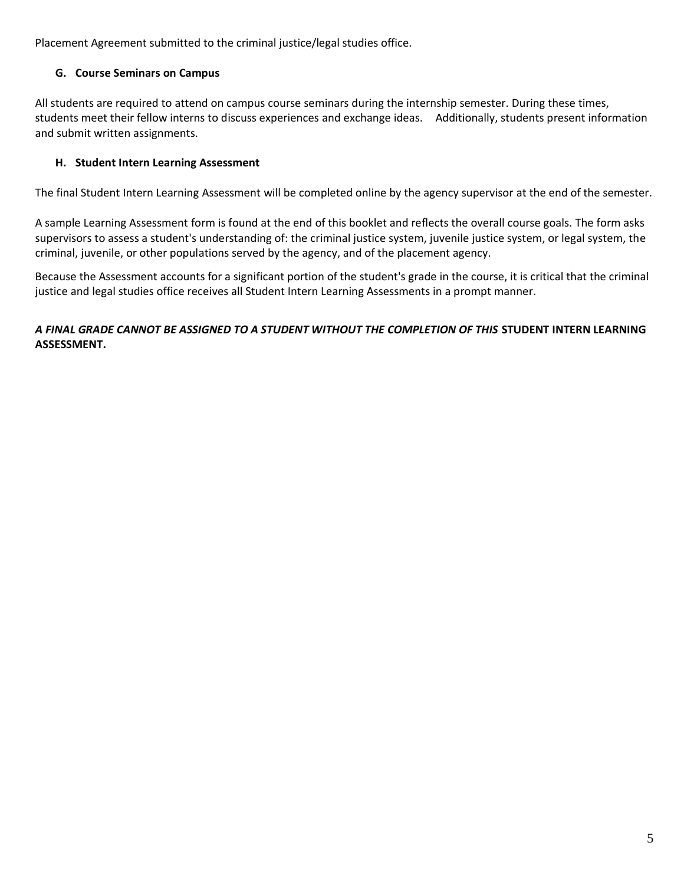Placement Agreement submitted to the criminal justice/legal studies office.

# **G. Course Seminars on Campus**

All students are required to attend on campus course seminars during the internship semester. During these times, students meet their fellow interns to discuss experiences and exchange ideas. Additionally, students present information and submit written assignments.

# **H. Student Intern Learning Assessment**

The final Student Intern Learning Assessment will be completed online by the agency supervisor at the end of the semester.

A sample Learning Assessment form is found at the end of this booklet and reflects the overall course goals. The form asks supervisors to assess a student's understanding of: the criminal justice system, juvenile justice system, or legal system, the criminal, juvenile, or other populations served by the agency, and of the placement agency.

Because the Assessment accounts for a significant portion of the student's grade in the course, it is critical that the criminal justice and legal studies office receives all Student Intern Learning Assessments in a prompt manner.

# *A FINAL GRADE CANNOT BE ASSIGNED TO A STUDENT WITHOUT THE COMPLETION OF THIS* **STUDENT INTERN LEARNING ASSESSMENT.**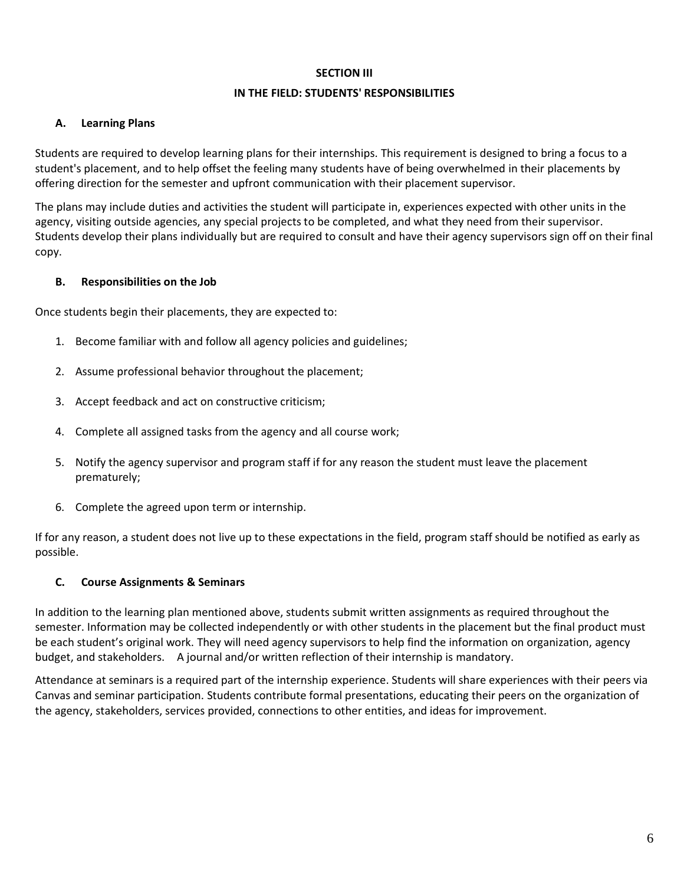#### **SECTION III**

#### **IN THE FIELD: STUDENTS' RESPONSIBILITIES**

#### **A. Learning Plans**

Students are required to develop learning plans for their internships. This requirement is designed to bring a focus to a student's placement, and to help offset the feeling many students have of being overwhelmed in their placements by offering direction for the semester and upfront communication with their placement supervisor.

The plans may include duties and activities the student will participate in, experiences expected with other units in the agency, visiting outside agencies, any special projects to be completed, and what they need from their supervisor. Students develop their plans individually but are required to consult and have their agency supervisors sign off on their final copy.

#### **B. Responsibilities on the Job**

Once students begin their placements, they are expected to:

- 1. Become familiar with and follow all agency policies and guidelines;
- 2. Assume professional behavior throughout the placement;
- 3. Accept feedback and act on constructive criticism;
- 4. Complete all assigned tasks from the agency and all course work;
- 5. Notify the agency supervisor and program staff if for any reason the student must leave the placement prematurely;
- 6. Complete the agreed upon term or internship.

If for any reason, a student does not live up to these expectations in the field, program staff should be notified as early as possible.

# **C. Course Assignments & Seminars**

In addition to the learning plan mentioned above, students submit written assignments as required throughout the semester. Information may be collected independently or with other students in the placement but the final product must be each student's original work. They will need agency supervisors to help find the information on organization, agency budget, and stakeholders. A journal and/or written reflection of their internship is mandatory.

Attendance at seminars is a required part of the internship experience. Students will share experiences with their peers via Canvas and seminar participation. Students contribute formal presentations, educating their peers on the organization of the agency, stakeholders, services provided, connections to other entities, and ideas for improvement.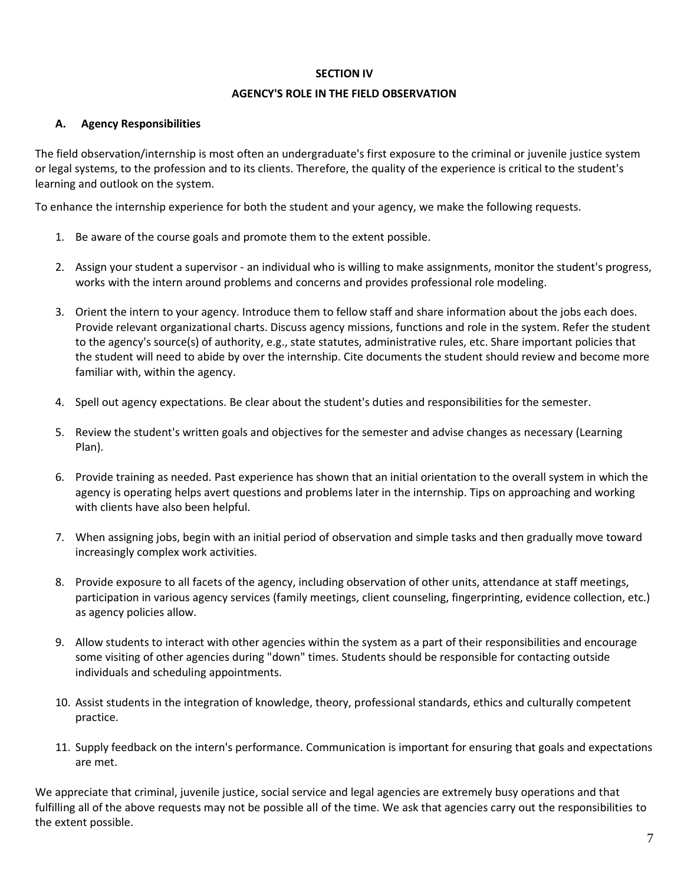#### **SECTION IV**

#### **AGENCY'S ROLE IN THE FIELD OBSERVATION**

#### **A. Agency Responsibilities**

The field observation/internship is most often an undergraduate's first exposure to the criminal or juvenile justice system or legal systems, to the profession and to its clients. Therefore, the quality of the experience is critical to the student's learning and outlook on the system.

To enhance the internship experience for both the student and your agency, we make the following requests.

- 1. Be aware of the course goals and promote them to the extent possible.
- 2. Assign your student a supervisor an individual who is willing to make assignments, monitor the student's progress, works with the intern around problems and concerns and provides professional role modeling.
- 3. Orient the intern to your agency. Introduce them to fellow staff and share information about the jobs each does. Provide relevant organizational charts. Discuss agency missions, functions and role in the system. Refer the student to the agency's source(s) of authority, e.g., state statutes, administrative rules, etc. Share important policies that the student will need to abide by over the internship. Cite documents the student should review and become more familiar with, within the agency.
- 4. Spell out agency expectations. Be clear about the student's duties and responsibilities for the semester.
- 5. Review the student's written goals and objectives for the semester and advise changes as necessary (Learning Plan).
- 6. Provide training as needed. Past experience has shown that an initial orientation to the overall system in which the agency is operating helps avert questions and problems later in the internship. Tips on approaching and working with clients have also been helpful.
- 7. When assigning jobs, begin with an initial period of observation and simple tasks and then gradually move toward increasingly complex work activities.
- 8. Provide exposure to all facets of the agency, including observation of other units, attendance at staff meetings, participation in various agency services (family meetings, client counseling, fingerprinting, evidence collection, etc.) as agency policies allow.
- 9. Allow students to interact with other agencies within the system as a part of their responsibilities and encourage some visiting of other agencies during "down" times. Students should be responsible for contacting outside individuals and scheduling appointments.
- 10. Assist students in the integration of knowledge, theory, professional standards, ethics and culturally competent practice.
- 11. Supply feedback on the intern's performance. Communication is important for ensuring that goals and expectations are met.

We appreciate that criminal, juvenile justice, social service and legal agencies are extremely busy operations and that fulfilling all of the above requests may not be possible all of the time. We ask that agencies carry out the responsibilities to the extent possible.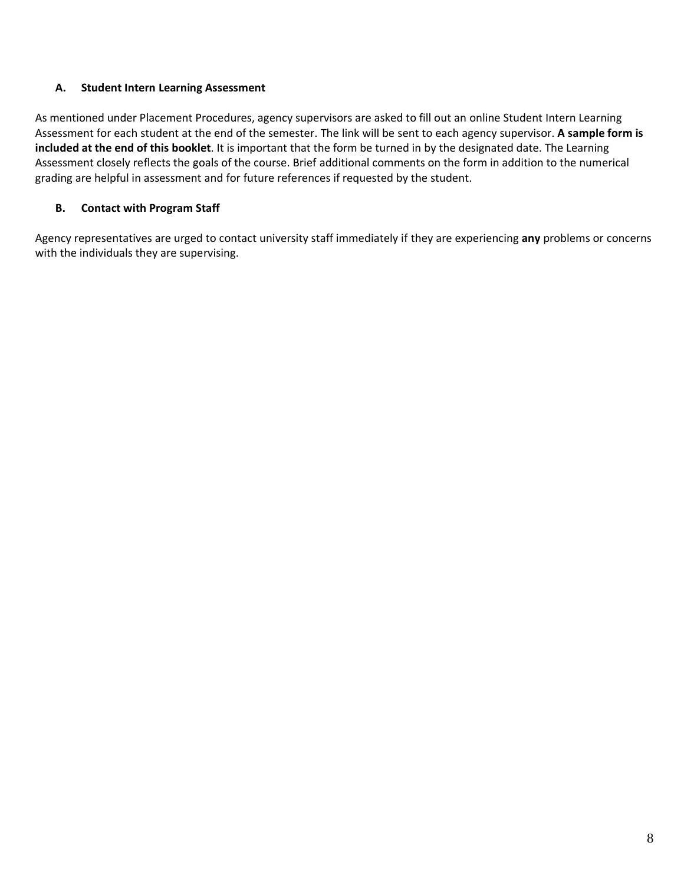# **A. Student Intern Learning Assessment**

As mentioned under Placement Procedures, agency supervisors are asked to fill out an online Student Intern Learning Assessment for each student at the end of the semester. The link will be sent to each agency supervisor. **A sample form is included at the end of this booklet**. It is important that the form be turned in by the designated date. The Learning Assessment closely reflects the goals of the course. Brief additional comments on the form in addition to the numerical grading are helpful in assessment and for future references if requested by the student.

# **B. Contact with Program Staff**

Agency representatives are urged to contact university staff immediately if they are experiencing **any** problems or concerns with the individuals they are supervising.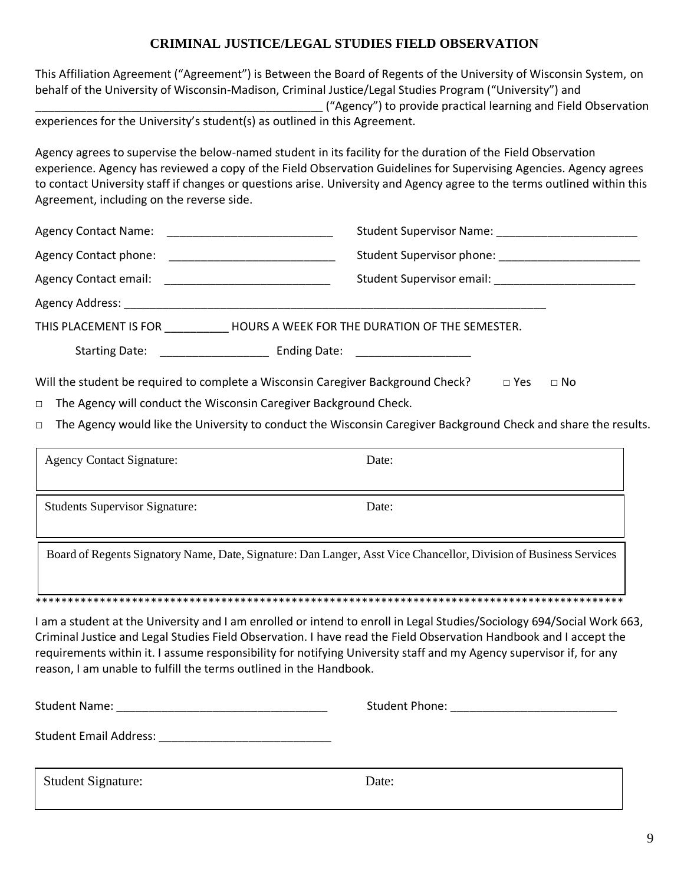# **CRIMINAL JUSTICE/LEGAL STUDIES FIELD OBSERVATION**

This Affiliation Agreement ("Agreement") is Between the Board of Regents of the University of Wisconsin System, on behalf of the University of Wisconsin-Madison, Criminal Justice/Legal Studies Program ("University") and

\_\_\_\_\_\_\_\_\_\_\_\_\_\_\_\_\_\_\_\_\_\_\_\_\_\_\_\_\_\_\_\_\_\_\_\_\_\_\_\_\_\_\_\_\_ ("Agency") to provide practical learning and Field Observation experiences for the University's student(s) as outlined in this Agreement.

Agency agrees to supervise the below-named student in its facility for the duration of the Field Observation experience. Agency has reviewed a copy of the Field Observation Guidelines for Supervising Agencies. Agency agrees to contact University staff if changes or questions arise. University and Agency agree to the terms outlined within this Agreement, including on the reverse side.

|                                                                                                             | Student Supervisor Name: Student Supervisor Name:   |  |  |
|-------------------------------------------------------------------------------------------------------------|-----------------------------------------------------|--|--|
|                                                                                                             | Student Supervisor phone: Student Supervisor phone: |  |  |
| <b>Agency Contact email:</b>                                                                                | Student Supervisor email: Student Supervisor email: |  |  |
| Agency Address: Agency Address:                                                                             |                                                     |  |  |
| THIS PLACEMENT IS FOR <b>HOURS A WEEK FOR THE DURATION OF THE SEMESTER.</b>                                 |                                                     |  |  |
| Starting Date: Ending Date: Ending Date:                                                                    |                                                     |  |  |
| Will the student be required to complete a Wisconsin Caregiver Background Check?<br>$\Box$ No<br>$\Box$ Yes |                                                     |  |  |
| The Agency will conduct the Wisconsin Caregiver Background Check.<br>$\Box$                                 |                                                     |  |  |

□ The Agency would like the University to conduct the Wisconsin Caregiver Background Check and share the results.

|                                                                                                                   | Date:                                                                                                                                                                                                                                    | <b>Agency Contact Signature:</b>      |  |
|-------------------------------------------------------------------------------------------------------------------|------------------------------------------------------------------------------------------------------------------------------------------------------------------------------------------------------------------------------------------|---------------------------------------|--|
|                                                                                                                   | Date:                                                                                                                                                                                                                                    | <b>Students Supervisor Signature:</b> |  |
| Board of Regents Signatory Name, Date, Signature: Dan Langer, Asst Vice Chancellor, Division of Business Services |                                                                                                                                                                                                                                          |                                       |  |
|                                                                                                                   |                                                                                                                                                                                                                                          |                                       |  |
|                                                                                                                   | I am a student at the University and I am enrolled or intend to enroll in Legal Studies/Sociology 694/Social Work 663,<br>Criminal Lutica and Logal Ctudica Field Observation I hous read the Field Observation Unpelpendical Logant the |                                       |  |

Criminal Justice and Legal Studies Field Observation. I have read the Field Observation Handbook and I accept the requirements within it. I assume responsibility for notifying University staff and my Agency supervisor if, for any reason, I am unable to fulfill the terms outlined in the Handbook.

| <b>Student Name:</b>          | Student Phone: |  |
|-------------------------------|----------------|--|
| <b>Student Email Address:</b> |                |  |
| <b>Student Signature:</b>     | Date:          |  |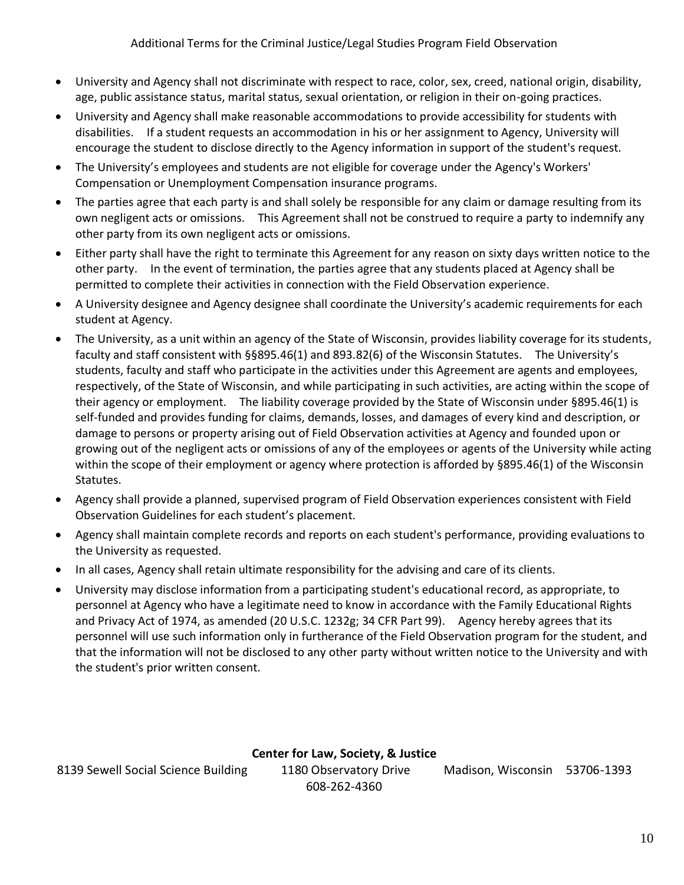- University and Agency shall not discriminate with respect to race, color, sex, creed, national origin, disability, age, public assistance status, marital status, sexual orientation, or religion in their on-going practices.
- University and Agency shall make reasonable accommodations to provide accessibility for students with disabilities. If a student requests an accommodation in his or her assignment to Agency, University will encourage the student to disclose directly to the Agency information in support of the student's request.
- The University's employees and students are not eligible for coverage under the Agency's Workers' Compensation or Unemployment Compensation insurance programs.
- The parties agree that each party is and shall solely be responsible for any claim or damage resulting from its own negligent acts or omissions. This Agreement shall not be construed to require a party to indemnify any other party from its own negligent acts or omissions.
- Either party shall have the right to terminate this Agreement for any reason on sixty days written notice to the other party. In the event of termination, the parties agree that any students placed at Agency shall be permitted to complete their activities in connection with the Field Observation experience.
- A University designee and Agency designee shall coordinate the University's academic requirements for each student at Agency.
- The University, as a unit within an agency of the State of Wisconsin, provides liability coverage for its students, faculty and staff consistent with §§895.46(1) and 893.82(6) of the Wisconsin Statutes. The University's students, faculty and staff who participate in the activities under this Agreement are agents and employees, respectively, of the State of Wisconsin, and while participating in such activities, are acting within the scope of their agency or employment. The liability coverage provided by the State of Wisconsin under §895.46(1) is self-funded and provides funding for claims, demands, losses, and damages of every kind and description, or damage to persons or property arising out of Field Observation activities at Agency and founded upon or growing out of the negligent acts or omissions of any of the employees or agents of the University while acting within the scope of their employment or agency where protection is afforded by §895.46(1) of the Wisconsin Statutes.
- Agency shall provide a planned, supervised program of Field Observation experiences consistent with Field Observation Guidelines for each student's placement.
- Agency shall maintain complete records and reports on each student's performance, providing evaluations to the University as requested.
- In all cases, Agency shall retain ultimate responsibility for the advising and care of its clients.
- University may disclose information from a participating student's educational record, as appropriate, to personnel at Agency who have a legitimate need to know in accordance with the Family Educational Rights and Privacy Act of 1974, as amended (20 U.S.C. 1232g; 34 CFR Part 99). Agency hereby agrees that its personnel will use such information only in furtherance of the Field Observation program for the student, and that the information will not be disclosed to any other party without written notice to the University and with the student's prior written consent.

# **Center for Law, Society, & Justice**

608-262-4360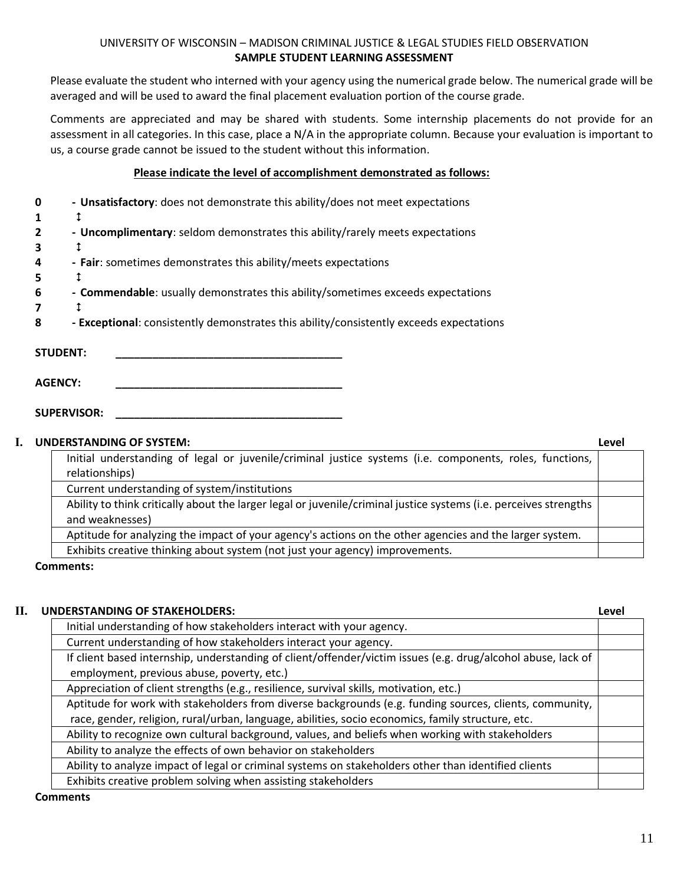#### UNIVERSITY OF WISCONSIN – MADISON CRIMINAL JUSTICE & LEGAL STUDIES FIELD OBSERVATION **SAMPLE STUDENT LEARNING ASSESSMENT**

Please evaluate the student who interned with your agency using the numerical grade below. The numerical grade will be averaged and will be used to award the final placement evaluation portion of the course grade.

Comments are appreciated and may be shared with students. Some internship placements do not provide for an assessment in all categories. In this case, place a N/A in the appropriate column. Because your evaluation is important to us, a course grade cannot be issued to the student without this information.

#### **Please indicate the level of accomplishment demonstrated as follows:**

| - Unsatisfactory: does not demonstrate this ability/does not meet expectations |
|--------------------------------------------------------------------------------|
|                                                                                |

- **2 - Uncomplimentary**: seldom demonstrates this ability/rarely meets expectations
- **3**
- **4 - Fair**: sometimes demonstrates this ability/meets expectations
- **5**
- **6 - Commendable**: usually demonstrates this ability/sometimes exceeds expectations
- **7**
- **8 - Exceptional**: consistently demonstrates this ability/consistently exceeds expectations

STUDENT:

 $AGENCY:$ 

SUPERVISOR:

#### **I. UNDERSTANDING OF SYSTEM: Level**

|                                                                                                                   | <u>.</u> |
|-------------------------------------------------------------------------------------------------------------------|----------|
| Initial understanding of legal or juvenile/criminal justice systems (i.e. components, roles, functions,           |          |
| relationships)                                                                                                    |          |
| Current understanding of system/institutions                                                                      |          |
| Ability to think critically about the larger legal or juvenile/criminal justice systems (i.e. perceives strengths |          |
| and weaknesses)                                                                                                   |          |
| Aptitude for analyzing the impact of your agency's actions on the other agencies and the larger system.           |          |
| Exhibits creative thinking about system (not just your agency) improvements.                                      |          |

#### **Comments:**

# **II.** UNDERSTANDING OF STAKEHOLDERS

| NDERSTANDING OF STAKEHOLDERS:                                                                                | Level |
|--------------------------------------------------------------------------------------------------------------|-------|
| Initial understanding of how stakeholders interact with your agency.                                         |       |
| Current understanding of how stakeholders interact your agency.                                              |       |
| If client based internship, understanding of client/offender/victim issues (e.g. drug/alcohol abuse, lack of |       |
| employment, previous abuse, poverty, etc.)                                                                   |       |
| Appreciation of client strengths (e.g., resilience, survival skills, motivation, etc.)                       |       |
| Aptitude for work with stakeholders from diverse backgrounds (e.g. funding sources, clients, community,      |       |
| race, gender, religion, rural/urban, language, abilities, socio economics, family structure, etc.            |       |
| Ability to recognize own cultural background, values, and beliefs when working with stakeholders             |       |
| Ability to analyze the effects of own behavior on stakeholders                                               |       |
| Ability to analyze impact of legal or criminal systems on stakeholders other than identified clients         |       |
| Exhibits creative problem solving when assisting stakeholders                                                |       |

#### **Comments**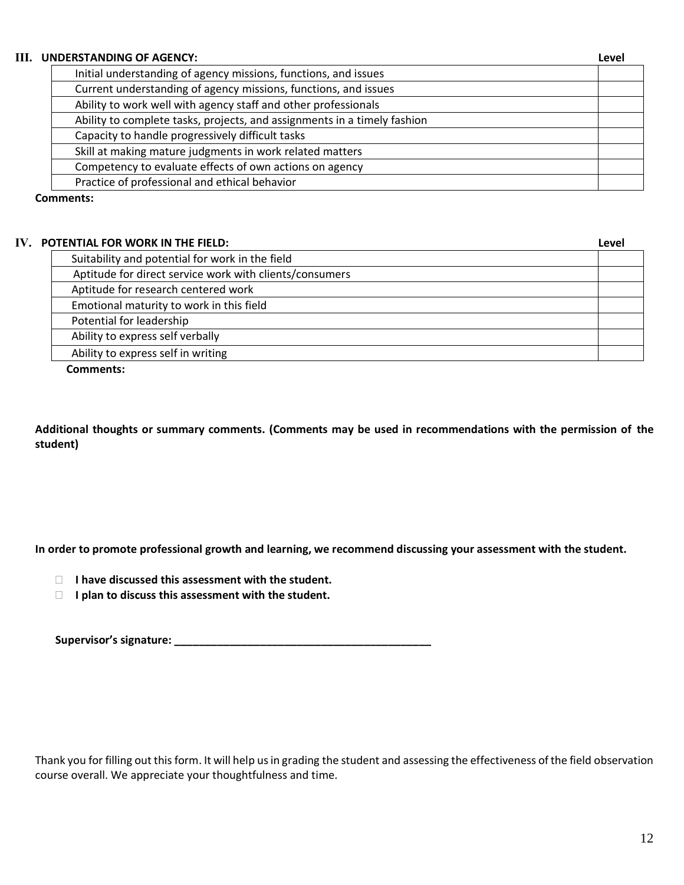#### **III. UNDERSTANDING OF AGENCY: Level**

| Initial understanding of agency missions, functions, and issues          |  |
|--------------------------------------------------------------------------|--|
| Current understanding of agency missions, functions, and issues          |  |
| Ability to work well with agency staff and other professionals           |  |
| Ability to complete tasks, projects, and assignments in a timely fashion |  |
| Capacity to handle progressively difficult tasks                         |  |
| Skill at making mature judgments in work related matters                 |  |
| Competency to evaluate effects of own actions on agency                  |  |
| Practice of professional and ethical behavior                            |  |

**Comments:**

# **IV. POTENTIAL FOR WORK IN THE FIELD: Level**

| I LIVITAL I VIV WYDIW IIV TITL I ILLY.                  | ---- |
|---------------------------------------------------------|------|
| Suitability and potential for work in the field         |      |
| Aptitude for direct service work with clients/consumers |      |
| Aptitude for research centered work                     |      |
| Emotional maturity to work in this field                |      |
| Potential for leadership                                |      |
| Ability to express self verbally                        |      |
| Ability to express self in writing                      |      |
|                                                         |      |

**Comments:**

**Additional thoughts or summary comments. (Comments may be used in recommendations with the permission of the student)**

**In order to promote professional growth and learning, we recommend discussing your assessment with the student.**

**I have discussed this assessment with the student.**

**I** l plan to discuss this assessment with the student.

| Supervisor's signature: |  |
|-------------------------|--|
|                         |  |

Thank you for filling out this form. It will help us in grading the student and assessing the effectiveness of the field observation course overall. We appreciate your thoughtfulness and time.